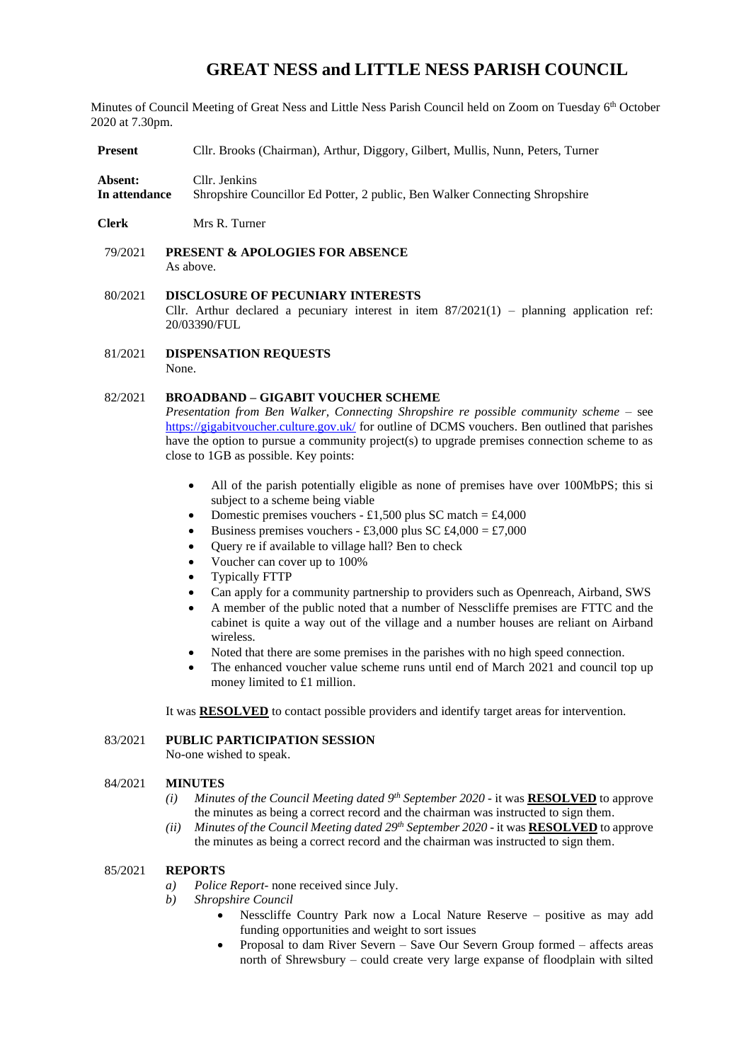# **GREAT NESS and LITTLE NESS PARISH COUNCIL**

Minutes of Council Meeting of Great Ness and Little Ness Parish Council held on Zoom on Tuesday 6<sup>th</sup> October 2020 at 7.30pm.

**Present** Cllr. Brooks (Chairman), Arthur, Diggory, Gilbert, Mullis, Nunn, Peters, Turner

**Absent:** Cllr. Jenkins **In attendance** Shropshire Councillor Ed Potter, 2 public, Ben Walker Connecting Shropshire

- **Clerk** Mrs R. Turner
- 79/2021 **PRESENT & APOLOGIES FOR ABSENCE**  As above.

# 80/2021 **DISCLOSURE OF PECUNIARY INTERESTS** Cllr. Arthur declared a pecuniary interest in item  $87/2021(1)$  – planning application ref: 20/03390/FUL

81/2021 **DISPENSATION REQUESTS** None.

# 82/2021 **BROADBAND – GIGABIT VOUCHER SCHEME**

*Presentation from Ben Walker, Connecting Shropshire re possible community scheme –* see <https://gigabitvoucher.culture.gov.uk/> for outline of DCMS vouchers. Ben outlined that parishes have the option to pursue a community project(s) to upgrade premises connection scheme to as close to 1GB as possible. Key points:

- All of the parish potentially eligible as none of premises have over 100MbPS; this si subject to a scheme being viable
- Domestic premises vouchers £1,500 plus SC match = £4,000
- Business premises vouchers £3,000 plus SC £4,000 = £7,000
- Query re if available to village hall? Ben to check
- Voucher can cover up to 100%
- Typically FTTP
- Can apply for a community partnership to providers such as Openreach, Airband, SWS
- A member of the public noted that a number of Nesscliffe premises are FTTC and the cabinet is quite a way out of the village and a number houses are reliant on Airband wireless.
- Noted that there are some premises in the parishes with no high speed connection.
- The enhanced voucher value scheme runs until end of March 2021 and council top up money limited to £1 million.

It was **RESOLVED** to contact possible providers and identify target areas for intervention.

## 83/2021 **PUBLIC PARTICIPATION SESSION**

No-one wished to speak.

#### 84/2021 **MINUTES**

- *(i) Minutes of the Council Meeting dated 9<sup>th</sup> September 2020 it was RESOLVED to approve* the minutes as being a correct record and the chairman was instructed to sign them.
- *(ii) Minutes of the Council Meeting dated 29th September 2020* it was **RESOLVED** to approve the minutes as being a correct record and the chairman was instructed to sign them.

## 85/2021 **REPORTS**

- *a) Police Report-* none received since July.
- *b) Shropshire Council* 
	- Nesscliffe Country Park now a Local Nature Reserve positive as may add funding opportunities and weight to sort issues
	- Proposal to dam River Severn Save Our Severn Group formed *–* affects areas north of Shrewsbury – could create very large expanse of floodplain with silted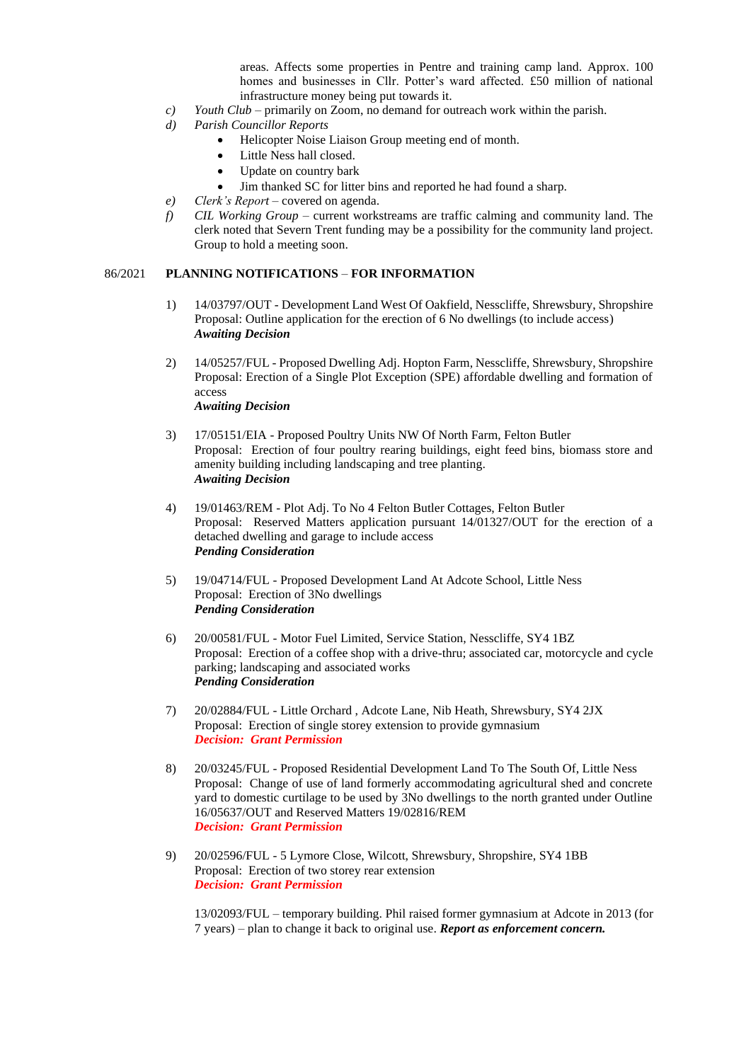areas. Affects some properties in Pentre and training camp land. Approx. 100 homes and businesses in Cllr. Potter's ward affected. £50 million of national infrastructure money being put towards it.

- *c) Youth Club*  primarily on Zoom, no demand for outreach work within the parish.
- *d) Parish Councillor Reports*
	- Helicopter Noise Liaison Group meeting end of month.
	- Little Ness hall closed.
	- Update on country bark
	- Jim thanked SC for litter bins and reported he had found a sharp.
- *e) Clerk's Report* covered on agenda.
- *f) CIL Working Group*  current workstreams are traffic calming and community land. The clerk noted that Severn Trent funding may be a possibility for the community land project. Group to hold a meeting soon.

#### 86/2021 **PLANNING NOTIFICATIONS** – **FOR INFORMATION**

- 1) 14/03797/OUT Development Land West Of Oakfield, Nesscliffe, Shrewsbury, Shropshire Proposal: Outline application for the erection of 6 No dwellings (to include access) *Awaiting Decision*
- 2) 14/05257/FUL Proposed Dwelling Adj. Hopton Farm, Nesscliffe, Shrewsbury, Shropshire Proposal: Erection of a Single Plot Exception (SPE) affordable dwelling and formation of access *Awaiting Decision*

3) 17/05151/EIA - Proposed Poultry Units NW Of North Farm, Felton Butler Proposal: Erection of four poultry rearing buildings, eight feed bins, biomass store and amenity building including landscaping and tree planting.

*Awaiting Decision*

- 4) 19/01463/REM Plot Adj. To No 4 Felton Butler Cottages, Felton Butler Proposal: Reserved Matters application pursuant 14/01327/OUT for the erection of a detached dwelling and garage to include access *Pending Consideration*
- 5) 19/04714/FUL Proposed Development Land At Adcote School, Little Ness Proposal: Erection of 3No dwellings *Pending Consideration*
- 6) 20/00581/FUL Motor Fuel Limited, Service Station, Nesscliffe, SY4 1BZ Proposal: Erection of a coffee shop with a drive-thru; associated car, motorcycle and cycle parking; landscaping and associated works *Pending Consideration*
- 7) 20/02884/FUL Little Orchard , Adcote Lane, Nib Heath, Shrewsbury, SY4 2JX Proposal: Erection of single storey extension to provide gymnasium *Decision: Grant Permission*
- 8) 20/03245/FUL Proposed Residential Development Land To The South Of, Little Ness Proposal: Change of use of land formerly accommodating agricultural shed and concrete yard to domestic curtilage to be used by 3No dwellings to the north granted under Outline 16/05637/OUT and Reserved Matters 19/02816/REM *Decision: Grant Permission*
- 9) 20/02596/FUL 5 Lymore Close, Wilcott, Shrewsbury, Shropshire, SY4 1BB Proposal: Erection of two storey rear extension *Decision: Grant Permission*

13/02093/FUL – temporary building. Phil raised former gymnasium at Adcote in 2013 (for 7 years) – plan to change it back to original use. *Report as enforcement concern.*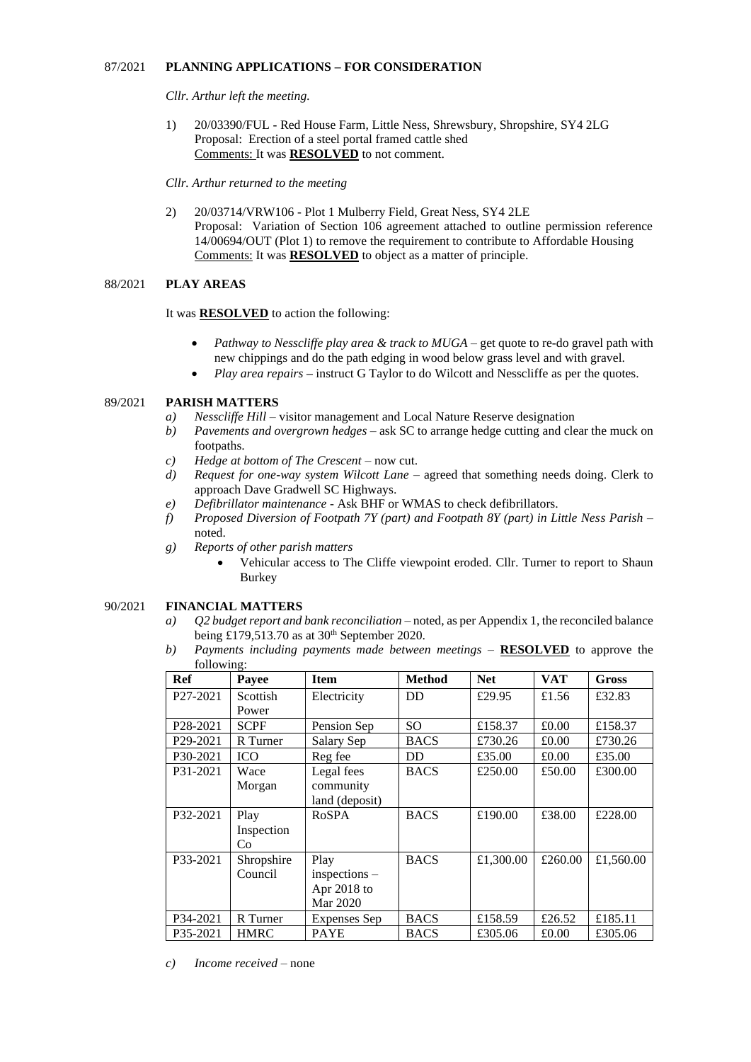#### 87/2021 **PLANNING APPLICATIONS – FOR CONSIDERATION**

*Cllr. Arthur left the meeting.*

1) 20/03390/FUL - Red House Farm, Little Ness, Shrewsbury, Shropshire, SY4 2LG Proposal: Erection of a steel portal framed cattle shed Comments: It was **RESOLVED** to not comment.

#### *Cllr. Arthur returned to the meeting*

2) 20/03714/VRW106 - Plot 1 Mulberry Field, Great Ness, SY4 2LE Proposal: Variation of Section 106 agreement attached to outline permission reference 14/00694/OUT (Plot 1) to remove the requirement to contribute to Affordable Housing Comments: It was **RESOLVED** to object as a matter of principle.

## 88/2021 **PLAY AREAS**

It was **RESOLVED** to action the following:

- *Pathway to Nesscliffe play area & track to MUGA –* get quote to re-do gravel path with new chippings and do the path edging in wood below grass level and with gravel.
- *Play area repairs* instruct G Taylor to do Wilcott and Nesscliffe as per the quotes.

## 89/2021 **PARISH MATTERS**

- *a) Nesscliffe Hill*  visitor management and Local Nature Reserve designation
- *b) Pavements and overgrown hedges* ask SC to arrange hedge cutting and clear the muck on footpaths.
- *c) Hedge at bottom of The Crescent* now cut.
- *d) Request for one-way system Wilcott Lane* agreed that something needs doing. Clerk to approach Dave Gradwell SC Highways.
- *e) Defibrillator maintenance* Ask BHF or WMAS to check defibrillators.
- *f) Proposed Diversion of Footpath 7Y (part) and Footpath 8Y (part) in Little Ness Parish* noted.
- *g) Reports of other parish matters* 
	- Vehicular access to The Cliffe viewpoint eroded. Cllr. Turner to report to Shaun Burkey

# 90/2021 **FINANCIAL MATTERS**

- *a) Q2 budget report and bank reconciliation* noted, as per Appendix 1, the reconciled balance being £179,513.70 as at  $30<sup>th</sup>$  September 2020.
- *b) Payments including payments made between meetings* **RESOLVED** to approve the following:

| Ref                   | Payee           | <b>Item</b>    | <b>Method</b> | <b>Net</b> | <b>VAT</b> | Gross     |
|-----------------------|-----------------|----------------|---------------|------------|------------|-----------|
| P <sub>27</sub> -2021 | <b>Scottish</b> | Electricity    | <b>DD</b>     | £29.95     | £1.56      | £32.83    |
|                       | Power           |                |               |            |            |           |
| P <sub>28</sub> -2021 | <b>SCPF</b>     | Pension Sep    | SO.           | £158.37    | £0.00      | £158.37   |
| P <sub>29</sub> -2021 | R Turner        | Salary Sep     | <b>BACS</b>   | £730.26    | £0.00      | £730.26   |
| P30-2021              | <b>ICO</b>      | Reg fee        | DD            | £35.00     | £0.00      | £35.00    |
| P31-2021              | Wace            | Legal fees     | <b>BACS</b>   | £250.00    | £50.00     | £300.00   |
|                       | Morgan          | community      |               |            |            |           |
|                       |                 | land (deposit) |               |            |            |           |
| P32-2021              | Play            | <b>RoSPA</b>   | <b>BACS</b>   | £190.00    | £38.00     | £228.00   |
|                       | Inspection      |                |               |            |            |           |
|                       | Co              |                |               |            |            |           |
| P33-2021              | Shropshire      | Play           | <b>BACS</b>   | £1,300.00  | £260.00    | £1,560.00 |
|                       | Council         | inspections -  |               |            |            |           |
|                       |                 | Apr 2018 to    |               |            |            |           |
|                       |                 | Mar 2020       |               |            |            |           |
| P34-2021              | R Turner        | Expenses Sep   | <b>BACS</b>   | £158.59    | £26.52     | £185.11   |
| P35-2021              | <b>HMRC</b>     | <b>PAYE</b>    | <b>BACS</b>   | £305.06    | £0.00      | £305.06   |

*c) Income received* – none